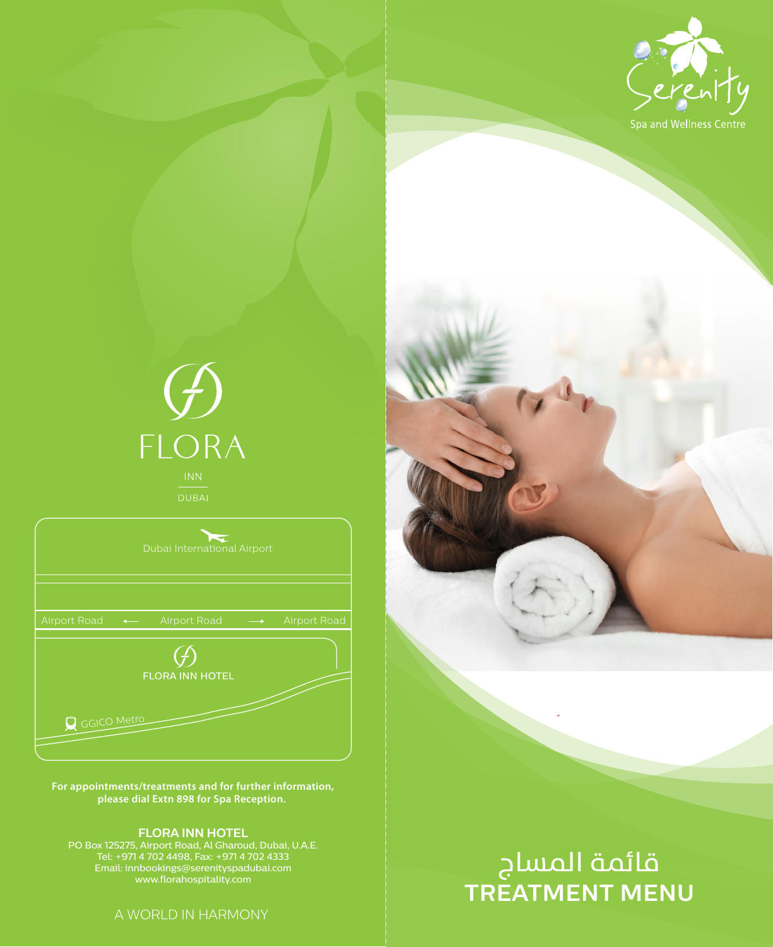

# $\overrightarrow{L}$ FLORA

|                     | Dubai International Airport |              |
|---------------------|-----------------------------|--------------|
| <b>Airport Road</b> | Airport Road                | Airport Road |
|                     | <b>FLORA INN HOTEL</b>      |              |
| Q GGICO Metro       |                             |              |

**For appointments/treatments and for further information, please dial Extn 898 for Spa Reception.** 

**FLORA INN HOTEL** PO Box 125275, Airport Road, Al Gharoud, Dubai, U.A.E. Tel: +971 4 702 4498, Fax: +971 4 702 4333 Email: innbookings@serenityspadubai.com www.florahospitality.com

A WORLD IN HARMONY

# **TREATMENT MENU** قائمة المساج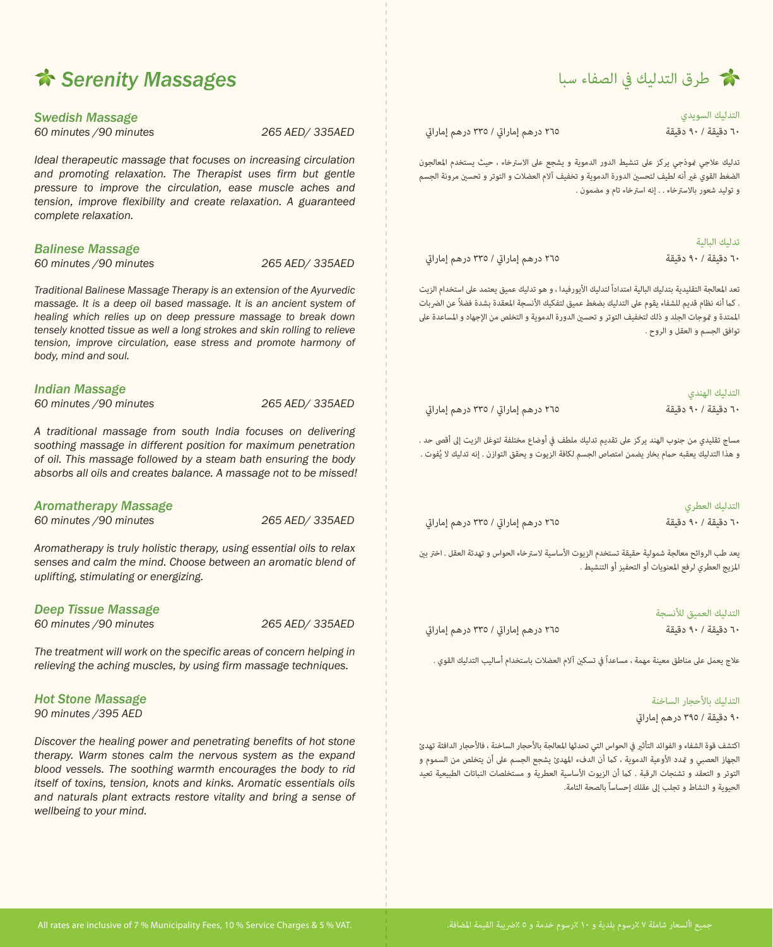

**التدليك السويدي** 

**تدليك البالية** 

.<br>٦٠ دقيقة / ٩٠ دقيقة **/ ٩٠ دقيقة / ٩٠ درهم إماراتي / ٣٣٥** درهم إماراتي

تدليك علاجي فوذجي بركز على تنشيط الدور الدموية و يشجع على الاسترخاء ، حيث يستخدم المعالجون الضغط القوى غبر أنه لطيف لتحسن الدورة الدموية و تخفيف آلام العضلات و التوتر و تحسن مرونة الجسم و توليد شعور بالاسترخاء . . إنه استرخاء تام و مضمون .

|                                     | ىدىيە سەسە          |
|-------------------------------------|---------------------|
| ٢٦٥ درهم إماراتي / ٣٣٥ درهم إماراتي | ٦٠ دقىقة / ٩٠ دقىقة |

تعد المعالجة التقليدية بتدليك البالية امتداداً لتدليك الأيورفيدا ، و هو تدليك عميق يعتمد على استخدام الزيت . كما أنه نظام قديم للشفاء يقوم على التدليك بضغط عميق لتفكيك الأنسجة المعقدة بشدة فضلاً عن الض<sub>ر</sub>يات الممتدة و قوجات الجلد و ذلك لتخفيف التوتر و تحسن الدورة الدموية و التخلص من الإجهاد و المساعدة على توافق الجسم و العقل و الروح .

|                                     | التدليك الهندى      |
|-------------------------------------|---------------------|
| ٢٦٥ درهم إماراتي / ٣٣٥ درهم إماراتي | ٦٠ دقىقة / ٩٠ دقىقة |

مساج تقليدي من جنوب الهند يركز على تقديم تدليك ملطف في أوضاع مختلفة لتوغل الزيت إلى أقصى حد . و هذا التدليك يعقبه حمام بخار يضمن امتصاص الجسم لكافة الزيوت و يحقق التوازن . إنه تدليك لا يُفوت .

|                                     | التدليك العطري      |
|-------------------------------------|---------------------|
| ٢٦٥ درهم إماراتي / ٣٣٥ درهم إماراتي | ٦٠ دقىقة / ٩٠ دقىقة |

يعد طب الروائح معالجة شمولية حقيقة تستخدم الزيوت الأساسية لاسترخاء الحواس و تهدئة العقل . اختر بن ازيج العطري لرفع اعنويات أو التحفيز أو التنشيط .

**التدليك العميق لنسجة** 

٦٠ دقيق*ة / ٩٠* دقيقة / ٩٠ دقيقة / ٩٠ دقيقة / ٣٣٥ درهم إماراتي / ٣٣٥ درهم إماراتي

علاج يعمل على مناطق معينة مهمة ، مساعداً في تسكين آلام العضلات باستخدام أساليب التدليك القوى .

**التدليك باحجار الساخنة** 

**٩٠ دقيقة / ٣٩٥ درهم إمارا**

اكتشف قوة الشفاء و الفوائد التأثير في الحواس التي تحدثها المعالجة بالأحجار الساخنة ، فالأحجار الدافئة تهدئ الجهاز العصبي و عَدد الأوعية الدموية ، كما أن الدفء المهدئ يشجع الجسم على أن يتخلص من السموم و التوتر و التعقد و تشنجات الرقبة . كما أن الزيوت الأساسية العطرية و مستخلصات النباتات الطبيعية تعيد الحيوية و النشاط و تجلب إلى عقلك إحساساً بالصحة التامة.

## *Serenity Massages*

*Swedish Massage 60 minutes /90 minutes 265 AED/ 335AED*

*Ideal therapeutic massage that focuses on increasing circulation*  and promoting relaxation. The Therapist uses firm but gentle *pressure to improve the circulation, ease muscle aches and tension, improve flexibility and create relaxation. A guaranteed complete relaxation.*

#### *Balinese Massage*

*60 minutes /90 minutes 265 AED/ 335AED*

*Traditional Balinese Massage Therapy is an extension of the Ayurvedic massage. It is a deep oil based massage. It is an ancient system of healing which relies up on deep pressure massage to break down tensely knotted tissue as well a long strokes and skin rolling to relieve tension, improve circulation, ease stress and promote harmony of body, mind and soul.*

#### *Indian Massage*

| 60 minutes / 90 minutes | 265 AED/ 335AED |
|-------------------------|-----------------|
|-------------------------|-----------------|

*A traditional massage from south India focuses on delivering soothing massage in different position for maximum penetration of oil. This massage followed by a steam bath ensuring the body absorbs all oils and creates balance. A massage not to be missed!*

## *Aromatherapy Massage*

*60 minutes /90 minutes 265 AED/ 335AED*

*Aromatherapy is truly holistic therapy, using essential oils to relax senses and calm the mind. Choose between an aromatic blend of uplifting, stimulating or energizing.* 

### *Deep Tissue Massage*

*60 minutes /90 minutes 265 AED/ 335AED*

*The treatment will work on the specific areas of concern helping in relieving the aching muscles, by using firm massage techniques.*

#### *Hot Stone Massage 90 minutes /395 AED*

*Discover the healing power and penetrating benefits of hot stone therapy. Warm stones calm the nervous system as the expand blood vessels. The soothing warmth encourages the body to rid itself of toxins, tension, knots and kinks. Aromatic essentials oils and naturals plant extracts restore vitality and bring a sense of wellbeing to your mind.*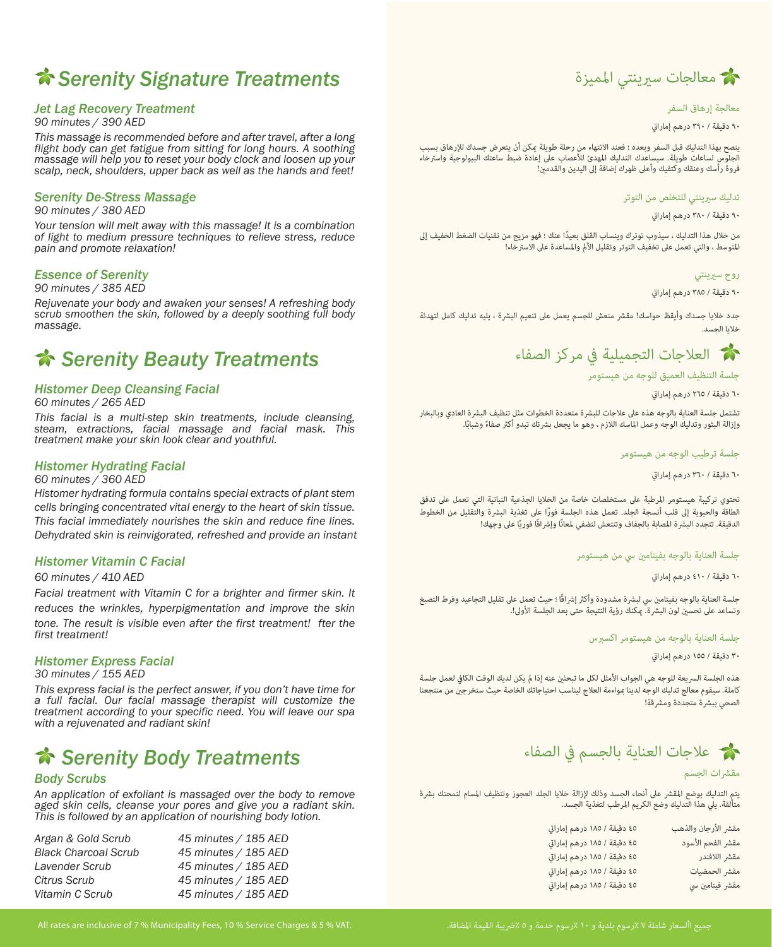## *Serenity Signature Treatments*

#### *Jet Lag Recovery Treatment*

*90 minutes / 390 AED* 

*This massage is recommended before and after travel, after a long flight body can get fatigue from sitting for long hours. A soothing*  massage will help you to reset your body clock and loosen up your *scalp, neck, shoulders, upper back as well as the hands and feet!* 

#### *Serenity De-Stress Massage*

*90 minutes / 380 AED* 

*Your tension will melt away with this massage! It is a combination of light to medium pressure techniques to relieve stress, reduce pain and promote relaxation!* 

#### *Essence of Serenity*

#### *90 minutes / 385 AED*

*Rejuvenate your body and awaken your senses! A refreshing body scrub smoothen the skin, followed by a deeply soothing full body massage.* 

## *Serenity Beauty Treatments*

#### *Histomer Deep Cleansing Facial*

*60 minutes / 265 AED* 

*This facial is a multi-step skin treatments, include cleansing, steam, extractions, facial massage and facial mask. This treatment make your skin look clear and youthful.* 

#### *Histomer Hydrating Facial*

*60 minutes / 360 AED* 

*Histomer hydrating formula contains special extracts of plant stem cells bringing concentrated vital energy to the heart of skin tissue. This facial immediately nourishes the skin and reduce fine lines. Dehydrated skin is reinvigorated, refreshed and provide an instant* 

#### *Histomer Vitamin C Facial*

#### *60 minutes / 410 AED*

*Facial treatment with Vitamin C for a brighter and firmer skin. It reduces the wrinkles, hyperpigmentation and improve the skin tone. The result is visible even after the first treatment! fter the first treatment!* 

#### *Histomer Express Facial*

#### *30 minutes / 155 AED*

*This express facial is the perfect answer, if you don't have time for a full facial. Our facial massage therapist will customize the treatment according to your specific need. You will leave our spa with a rejuvenated and radiant skin!* 

## *Serenity Body Treatments*

#### *Body Scrubs*

*An application of exfoliant is massaged over the body to remove aged skin cells, cleanse your pores and give you a radiant skin. This is followed by an application of nourishing body lotion.* 

| Argan & Gold Scrub          | 45 minutes / 185 AED |
|-----------------------------|----------------------|
| <b>Black Charcoal Scrub</b> | 45 minutes / 185 AED |
| Lavender Scrub              | 45 minutes / 185 AED |
| Citrus Scrub                | 45 minutes / 185 AED |
| Vitamin C Scrub             | 45 minutes / 185 AED |
|                             |                      |



#### **معالجة إرهاق السفر**

٩٠ دقيقة / ٣٩٠ درهم إماراتي

ينصح بهذا التدليك قبل السفر وبعده ؛ فعند الانتهاء من رحلة طويلة عكن أن يتعرض جسدك للإرهاق بسبب<br>الجلوس لساعات طويلة. سيساعدك التدليك المهدئ للأعصاب على إعادة ضبط ساعتك البيولوجية واسترخاء .<br>فروة رأسك وعنقك وكتفيك وأعلى ظهرك إضافة إلى اليدين والقدمين!

#### **تدليك سينتي للتخلص من التوتر**

٩٠ دقيقة / ٣٨٠ درهم إماراتي

من خلال هذا التدليك ، سيذوب توترك وينساب القلق بعيدًا عنك ؛ فهو مزيج من تقنيات الضغط الخفيف إلى<br>المتوسط ، والتي تعمل على تخفيف التوتر وتقليل الألم والمساعدة على الاسترخاء!

#### **روح سينتي**

#### ٩٠ دقيقة / ٣٨٥ درهم إماراتي

جدد خلايا جسدك وأيقظ حواسك! مقشر منعش للجسم يعمل على تنعيم البشرة ، يليه تدليك كامل لتهدئة خلايا الجسد.



#### **جلسة التنظيف العميق للوجه من هيستومر**

#### ٦٠ دقيقة / ٢٦٥ درهم إماراتي

تشتمل جلسة العناية بالوجه هذه على علاجات للبشرة متعددة الخطوات مثل تنظيف البشرة العادي وبالبخار<br>وإزالة البثور وتدليك الوجه وعمل الماسك اللازم ، وهو ما يجعل بشرتك تبدو أكثر صفاءً وشبابًا.

#### **جلسة ترطيب الوجه من هيستومر**

٦٠ دقيقة / ٣٦٠ درهم إماراتي

تحتوي تركيبة هيستومر المرطبة على مستخلصات خاصة من الخلايا الجذعية النباتية التي تعمل على تدفق<br>الطاقة والحيوية إلى قلب أنسجة الجلد. تعمل هذه الجلسة فورًا على تغذية البشرة والتقليل من الخطوط الطاقة والحيوية إلى قلب أنسجة الجلد. تعمل هذه الجلسة فورًا على تغذية البشرة والتقليل من الخطوط<br>الدقيقة. تتجدد البشرة الممابة بالجفاف وتنتعش لتضفي لمعانًا وإشرافًا فوريًا على وجهك!

#### **جلسة العناية بالوجه بفيتام¥ ¤ من هيستومر**

٦٠ دقيقة / ٤١٠ درهم إماراتي

جلسة العناية بالوجه بفيتامين سي لبشرة مشدودة وأكثر إشراقًا ؛ حيث تعمل على تقليل التجاعيد وفرط التصبغ<br>وتساعد على تحسين لون البشرة. عِكنك رؤية النتيجة حتى بعد الجلسة الأولى!.

#### **جلسة العناية بالوجه من هيستومر اكس§س**

٣٠ دقيقة / ١٥٥ درهم إماراتي

هذه الجلسة السريعة للوجه هي الجواب الأمثل لكل ما تبحثين عنه إذا لم يكن لديك الوقت الكافى لعمل جلسة كاملة. سيقوم معالج تدليك الوجه لدينا ڢواءمة العلاج ليناسب احتياجاتك الخاصة حيث ستخرجين من منتجعنا الصحى ببشرة متجددة ومشرقة!



#### **مق©ات الجسم**

يتم التدليك بوضع المقشر على أنحاء الجسد وذلك لإزالة خلايا الجلد العجوز وتنظيف المسام لنمحنك بشرة<br>متألقة. يلى هذا التدليك وضع الكريم المرطب لتغذية الجسد.

| مقشر الأرجان والذهب | ٤٥ دقيقة / ١٨٥ درهم إماراق  |
|---------------------|-----------------------------|
| مقشر الفحم الأسود   | ٤٥ دقيقة / ١٨٥ درهم إماراتي |
| مقشر اللافندر       | ٤٥ دقيقة / ١٨٥ درهم إماراتي |
| مقشر الحمضيات       | ٤٥ دقيقة / ١٨٥ درهم إماراتي |
| مقشر فيتامين سي     | ٤٥ دقيقة / ١٨٥ درهم إماراتي |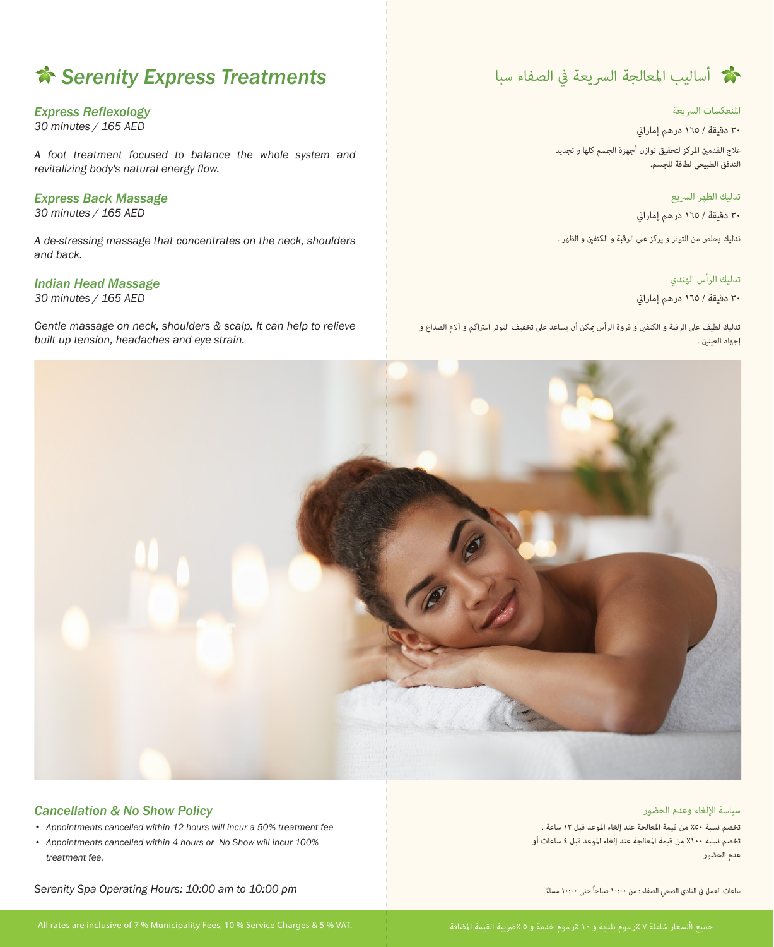## *Serenity Express Treatments*

#### *Express Reflexology*

*30 minutes / 165 AED*

*A foot treatment focused to balance the whole system and revitalizing body's natural energy flow.*

#### *Express Back Massage*

*30 minutes / 165 AED*

*A de-stressing massage that concentrates on the neck, shoulders and back.*

#### *Indian Head Massage*

*30 minutes / 165 AED*

*Gentle massage on neck, shoulders & scalp. It can help to relieve built up tension, headaches and eye strain.*



#### **انعكسات الªيعة**

**٣٠ دقيقة / ١٦٥ درهم إمارا**

علاج القدمين المركز لتحقيق توازن أجهزة الجسم كلها و تجديد التدفق الطبيعي لطاقة للجسم.

**تدليك الظهر الªيع**

**٣٠ دقيقة / ١٦٥ درهم إمارا**

تدليك يخلص من التوتر و يركز على الرقبة و الكتفين و الظهر .

#### **تدليك الرأس الهندي**

**٣٠ دقيقة / ١٦٥ درهم إمارا**

تدليك لطيف على الرقبة و الكتفين و فروة الرأس عكن أن يساعد على تخفيف التوتر المتراكم و آلام الصداع و إجهاد العينين .



#### *Cancellation & No Show Policy*

- *Appointments cancelled within 12 hours will incur a 50% treatment fee*
- *Appointments cancelled within 4 hours or No Show will incur 100% treatment fee.*

*Serenity Spa Operating Hours: 10:00 am to 10:00 pm*

All rates are inclusive of 7 % Municipality Fees, 10 % Service Charges & 5 % VAT.

#### سيا*سة* الإلغاء وعدم الحضور

تخصم نسبة ٪٥٠ من قيمة اعالجة عند إلغاء اوعد قبل ١٢ ساعة . تخصم نسبة ٪١٠٠ من قيمة اعالجة عند إلغاء اوعد قبل ٤ ساعات أو عدم الحضور .

๎๎๎๎๎<br>๎ ساعات العمل في النادي الصحي الصفاء : من ١٠:٠٠ صباحاً حتى ١٠:٠٠ مساءً